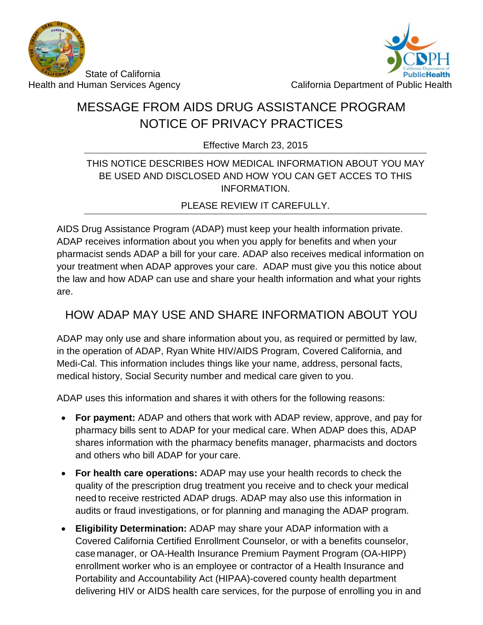



# MESSAGE FROM AIDS DRUG ASSISTANCE PROGRAM NOTICE OF PRIVACY PRACTICES

Effective March 23, 2015

#### THIS NOTICE DESCRIBES HOW MEDICAL INFORMATION ABOUT YOU MAY BE USED AND DISCLOSED AND HOW YOU CAN GET ACCES TO THIS INFORMATION.

PLEASE REVIEW IT CAREFULLY.

AIDS Drug Assistance Program (ADAP) must keep your health information private. ADAP receives information about you when you apply for benefits and when your pharmacist sends ADAP a bill for your care. ADAP also receives medical information on your treatment when ADAP approves your care. ADAP must give you this notice about the law and how ADAP can use and share your health information and what your rights are.

# HOW ADAP MAY USE AND SHARE INFORMATION ABOUT YOU

ADAP may only use and share information about you, as required or permitted by law, in the operation of ADAP, Ryan White HIV/AIDS Program, Covered California, and Medi-Cal. This information includes things like your name, address, personal facts, medical history, Social Security number and medical care given to you.

ADAP uses this information and shares it with others for the following reasons:

- **For payment:** ADAP and others that work with ADAP review, approve, and pay for pharmacy bills sent to ADAP for your medical care. When ADAP does this, ADAP shares information with the pharmacy benefits manager, pharmacists and doctors and others who bill ADAP for your care.
- **For health care operations:** ADAP may use your health records to check the quality of the prescription drug treatment you receive and to check your medical need to receive restricted ADAP drugs. ADAP may also use this information in audits or fraud investigations, or for planning and managing the ADAP program.
- **Eligibility Determination:** ADAP may share your ADAP information with a Covered California Certified Enrollment Counselor, or with a benefits counselor, case manager, or OA-Health Insurance Premium Payment Program (OA-HIPP) enrollment worker who is an employee or contractor of a Health Insurance and Portability and Accountability Act (HIPAA)-covered county health department delivering HIV or AIDS health care services, for the purpose of enrolling you in and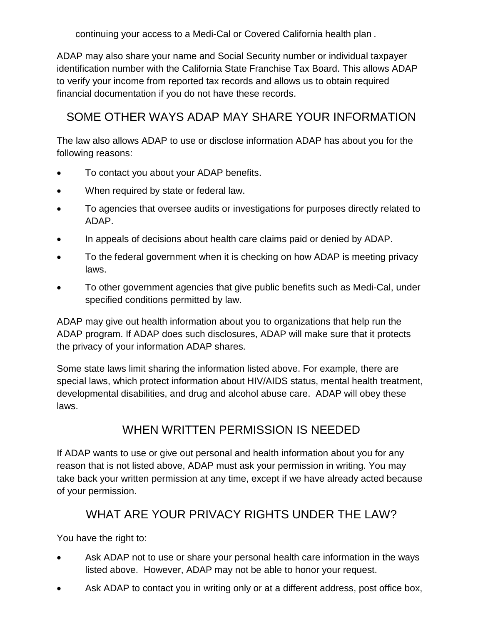continuing your access to a Medi-Cal or Covered California health plan .

ADAP may also share your name and Social Security number or individual taxpayer identification number with the California State Franchise Tax Board. This allows ADAP to verify your income from reported tax records and allows us to obtain required financial documentation if you do not have these records.

## SOME OTHER WAYS ADAP MAY SHARE YOUR INFORMATION

The law also allows ADAP to use or disclose information ADAP has about you for the following reasons:

- To contact you about your ADAP benefits.
- When required by state or federal law.
- To agencies that oversee audits or investigations for purposes directly related to ADAP.
- In appeals of decisions about health care claims paid or denied by ADAP.
- To the federal government when it is checking on how ADAP is meeting privacy laws.
- To other government agencies that give public benefits such as Medi-Cal, under specified conditions permitted by law.

ADAP may give out health information about you to organizations that help run the ADAP program. If ADAP does such disclosures, ADAP will make sure that it protects the privacy of your information ADAP shares.

Some state laws limit sharing the information listed above. For example, there are special laws, which protect information about HIV/AIDS status, mental health treatment, developmental disabilities, and drug and alcohol abuse care. ADAP will obey these laws.

### WHEN WRITTEN PERMISSION IS NEEDED

If ADAP wants to use or give out personal and health information about you for any reason that is not listed above, ADAP must ask your permission in writing. You may take back your written permission at any time, except if we have already acted because of your permission.

### WHAT ARE YOUR PRIVACY RIGHTS UNDER THE LAW?

You have the right to:

- Ask ADAP not to use or share your personal health care information in the ways listed above. However, ADAP may not be able to honor your request.
- Ask ADAP to contact you in writing only or at a different address, post office box,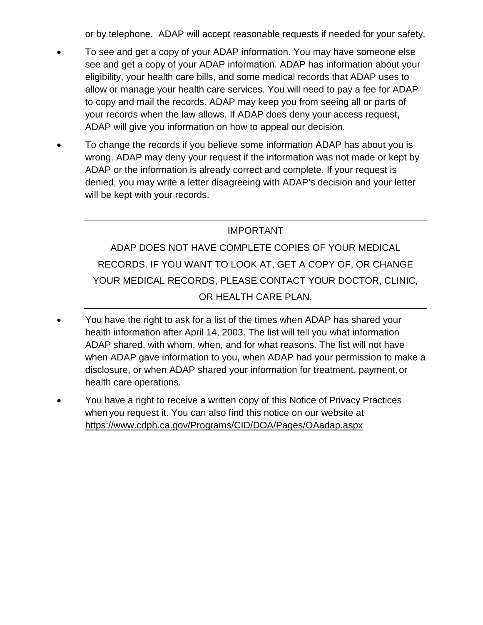or by telephone. ADAP will accept reasonable requests if needed for your safety.

- To see and get a copy of your ADAP information. You may have someone else see and get a copy of your ADAP information. ADAP has information about your eligibility, your health care bills, and some medical records that ADAP uses to allow or manage your health care services. You will need to pay a fee for ADAP to copy and mail the records. ADAP may keep you from seeing all or parts of your records when the law allows. If ADAP does deny your access request, ADAP will give you information on how to appeal our decision.
- To change the records if you believe some information ADAP has about you is wrong. ADAP may deny your request if the information was not made or kept by ADAP or the information is already correct and complete. If your request is denied, you may write a letter disagreeing with ADAP's decision and your letter will be kept with your records.

#### IMPORTANT

ADAP DOES NOT HAVE COMPLETE COPIES OF YOUR MEDICAL RECORDS. IF YOU WANT TO LOOK AT, GET A COPY OF, OR CHANGE YOUR MEDICAL RECORDS, PLEASE CONTACT YOUR DOCTOR, CLINIC, OR HEALTH CARE PLAN.

- You have the right to ask for a list of the times when ADAP has shared your health information after April 14, 2003. The list will tell you what information ADAP shared, with whom, when, and for what reasons. The list will not have when ADAP gave information to you, when ADAP had your permission to make a disclosure, or when ADAP shared your information for treatment, payment,or health care operations.
- You have a right to receive a written copy of this Notice of Privacy Practices when you request it. You can also find this notice on our website at <https://www.cdph.ca.gov/Programs/CID/DOA/Pages/OAadap.aspx>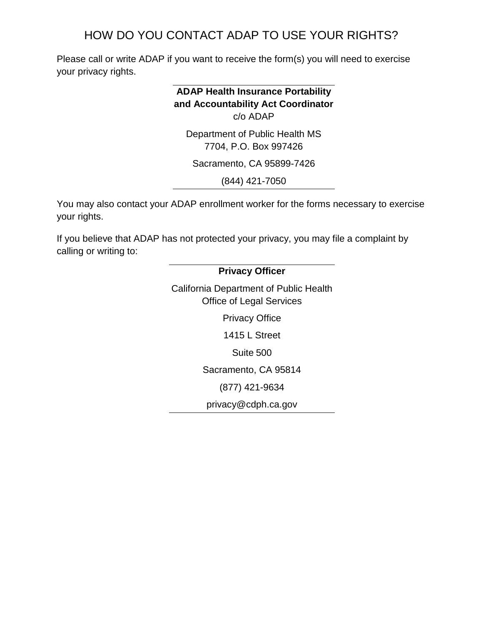### HOW DO YOU CONTACT ADAP TO USE YOUR RIGHTS?

Please call or write ADAP if you want to receive the form(s) you will need to exercise your privacy rights.

### **ADAP Health Insurance Portability and Accountability Act Coordinator** c/o ADAP Department of Public Health MS

7704, P.O. Box 997426

Sacramento, CA 95899-7426

(844) 421-7050

You may also contact your ADAP enrollment worker for the forms necessary to exercise your rights.

If you believe that ADAP has not protected your privacy, you may file a complaint by calling or writing to:

# **Privacy Officer** California Department of Public Health Office of Legal Services Privacy Office 1415 L Street Suite 500 Sacramento, CA 95814 (877) 421-9634 privacy@cdph.ca.gov